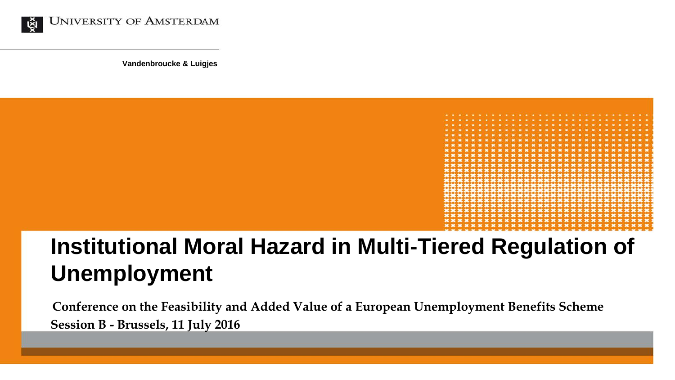

**Vandenbroucke & Luigjes**



# **Institutional Moral Hazard in Multi-Tiered Regulation of Unemployment**

**Conference on the Feasibility and Added Value of a European Unemployment Benefits Scheme Session B - Brussels, 11 July 2016**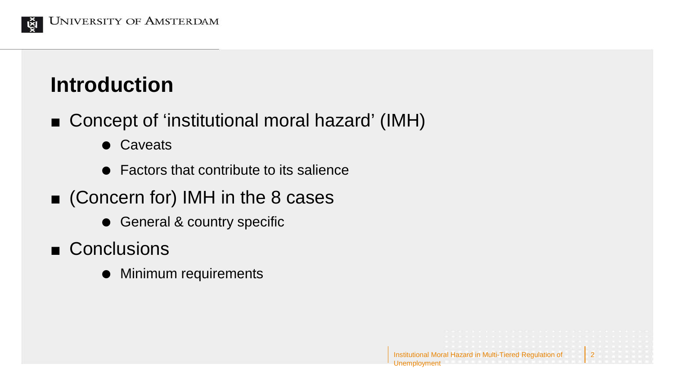

## **Introduction**

- Concept of 'institutional moral hazard' (IMH)
	- **•** Caveats
	- Factors that contribute to its salience
- Concern for) IMH in the 8 cases
	- General & country specific
- Conclusions
	- Minimum requirements

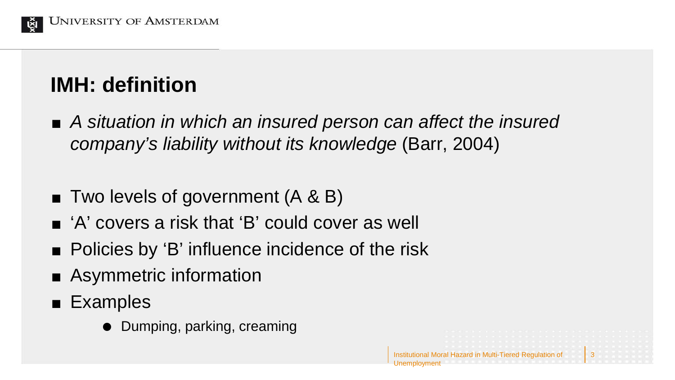

## **IMH: definition**

 *A situation in which an insured person can affect the insured company's liability without its knowledge* (Barr, 2004)

Institutional Moral Hazard in Multi-Tiered Regulation of

3

- $\blacksquare$  Two levels of government  $(A \& B)$
- 'A' covers a risk that 'B' could cover as well
- Policies by 'B' influence incidence of the risk
- Asymmetric information
- **Examples** 
	- Dumping, parking, creaming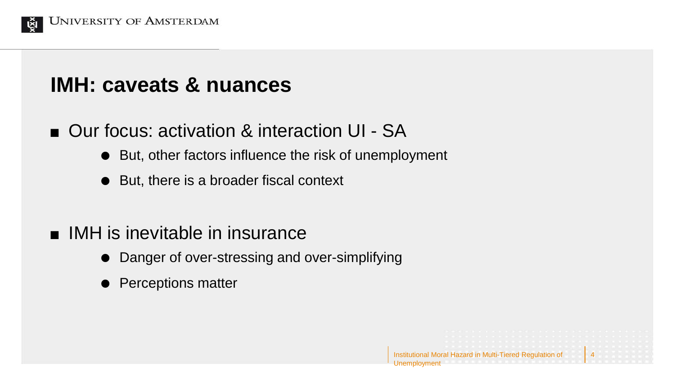

### **IMH: caveats & nuances**

- Our focus: activation & interaction UI SA
	- But, other factors influence the risk of unemployment
	- But, there is a broader fiscal context
- **IMH** is inevitable in insurance
	- Danger of over-stressing and over-simplifying
	- Perceptions matter

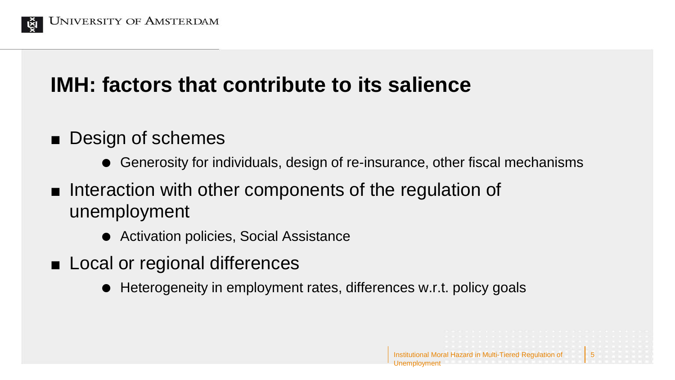

### **IMH: factors that contribute to its salience**

- Design of schemes
	- Generosity for individuals, design of re-insurance, other fiscal mechanisms

Institutional Moral Hazard in Multi-Tiered Regulation of

5

- Interaction with other components of the regulation of unemployment
	- Activation policies, Social Assistance
- Local or regional differences
	- Heterogeneity in employment rates, differences w.r.t. policy goals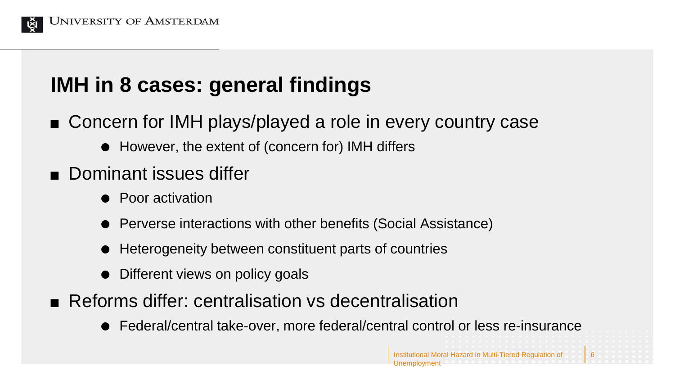

### **IMH in 8 cases: general findings**

- Concern for IMH plays/played a role in every country case
	- However, the extent of (concern for) IMH differs
- **Dominant issues differ** 
	- Poor activation
	- Perverse interactions with other benefits (Social Assistance)
	- Heterogeneity between constituent parts of countries
	- Different views on policy goals
- **Reforms differ: centralisation vs decentralisation** 
	- Federal/central take-over, more federal/central control or less re-insurance

6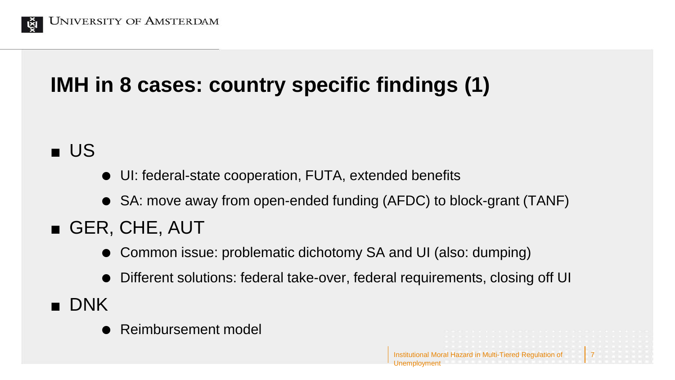

## **IMH in 8 cases: country specific findings (1)**

**u** US

- UI: federal-state cooperation, FUTA, extended benefits
- SA: move away from open-ended funding (AFDC) to block-grant (TANF)
- GER, CHE, AUT
	- Common issue: problematic dichotomy SA and UI (also: dumping)
	- Different solutions: federal take-over, federal requirements, closing off UI

Institutional Moral Hazard in Multi-Tiered Regulation of

7

- **DNK** 
	- Reimbursement model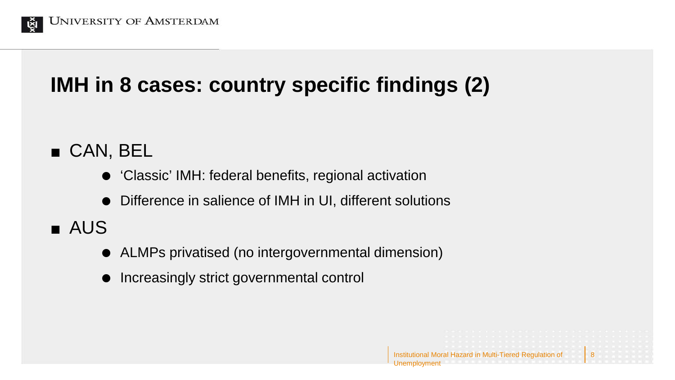

## **IMH in 8 cases: country specific findings (2)**

#### CAN, BEL

- 'Classic' IMH: federal benefits, regional activation
- Difference in salience of IMH in UI, different solutions

### **AUS**

ALMPs privatised (no intergovernmental dimension)

Institutional Moral Hazard in Multi-Tiered Regulation of

8

Unemployment

 $\bullet$  Increasingly strict governmental control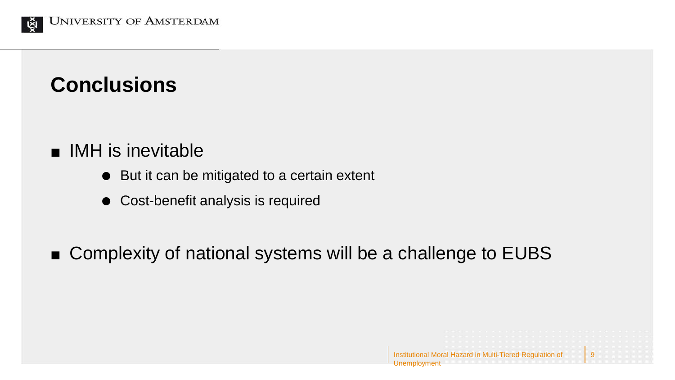

#### **Conclusions**

- **IMH** is inevitable
	- But it can be mitigated to a certain extent
	- Cost-benefit analysis is required
- Complexity of national systems will be a challenge to EUBS

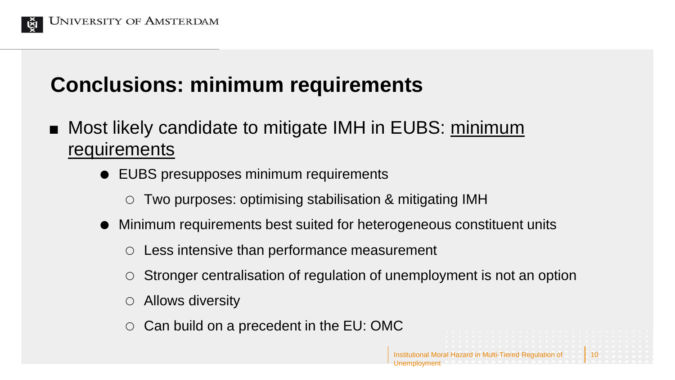

## **Conclusions: minimum requirements**

- Most likely candidate to mitigate IMH in EUBS: minimum requirements
	- EUBS presupposes minimum requirements
		- Two purposes: optimising stabilisation & mitigating IMH
	- Minimum requirements best suited for heterogeneous constituent units
		- Less intensive than performance measurement
		- Stronger centralisation of regulation of unemployment is not an option

Institutional Moral Hazard in Multi-Tiered Regulation of

10

- Allows diversity
- Can build on a precedent in the EU: OMC